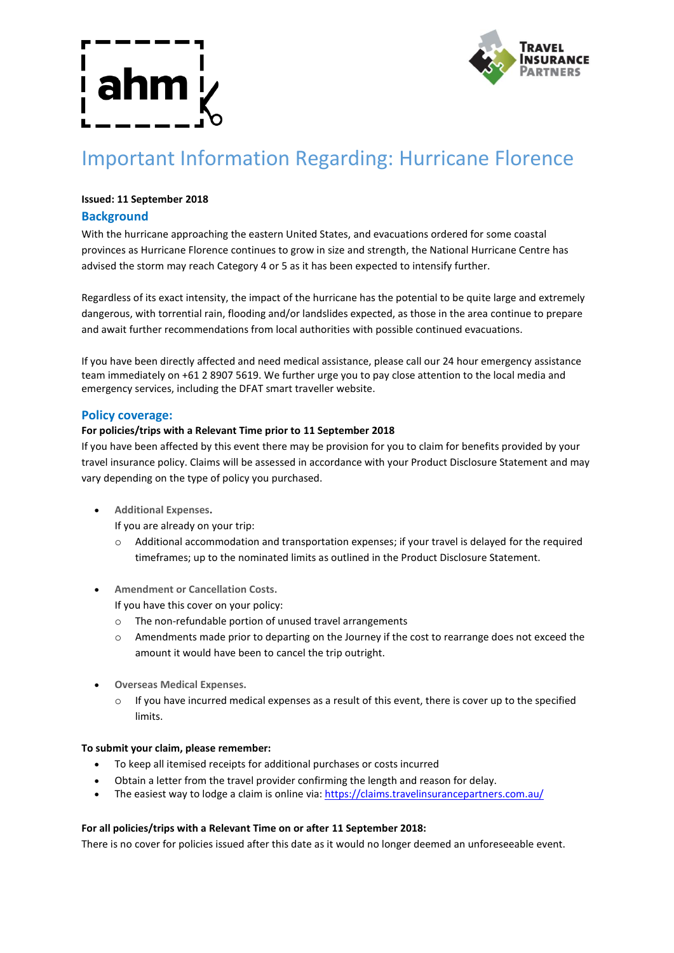

# Important Information Regarding: Hurricane Florence

# **Issued: 11 September 2018**

# **Background**

With the hurricane approaching the eastern United States, and evacuations ordered for some coastal provinces as Hurricane Florence continues to grow in size and strength, the National Hurricane Centre has advised the storm may reach Category 4 or 5 as it has been expected to intensify further.

Regardless of its exact intensity, the impact of the hurricane has the potential to be quite large and extremely dangerous, with torrential rain, flooding and/or landslides expected, as those in the area continue to prepare and await further recommendations from local authorities with possible continued evacuations.

If you have been directly affected and need medical assistance, please call our 24 hour emergency assistance team immediately on +61 2 8907 5619. We further urge you to pay close attention to the local media and emergency services, including the DFAT smart traveller website.

# **Policy coverage:**

# **For policies/trips with a Relevant Time prior to 11 September 2018**

If you have been affected by this event there may be provision for you to claim for benefits provided by your travel insurance policy. Claims will be assessed in accordance with your Product Disclosure Statement and may vary depending on the type of policy you purchased.

**Additional Expenses.**

If you are already on your trip:

- o Additional accommodation and transportation expenses; if your travel is delayed for the required timeframes; up to the nominated limits as outlined in the Product Disclosure Statement.
- **Amendment or Cancellation Costs.**

If you have this cover on your policy:

- o The non-refundable portion of unused travel arrangements
- o Amendments made prior to departing on the Journey if the cost to rearrange does not exceed the amount it would have been to cancel the trip outright.
- **Overseas Medical Expenses.**
	- $\circ$  If you have incurred medical expenses as a result of this event, there is cover up to the specified limits.

### **To submit your claim, please remember:**

- To keep all itemised receipts for additional purchases or costs incurred
- Obtain a letter from the travel provider confirming the length and reason for delay.
- The easiest way to lodge a claim is online via: https://claims.travelinsurancepartners.com.au/

# **For all policies/trips with a Relevant Time on or after 11 September 2018:**

There is no cover for policies issued after this date as it would no longer deemed an unforeseeable event.